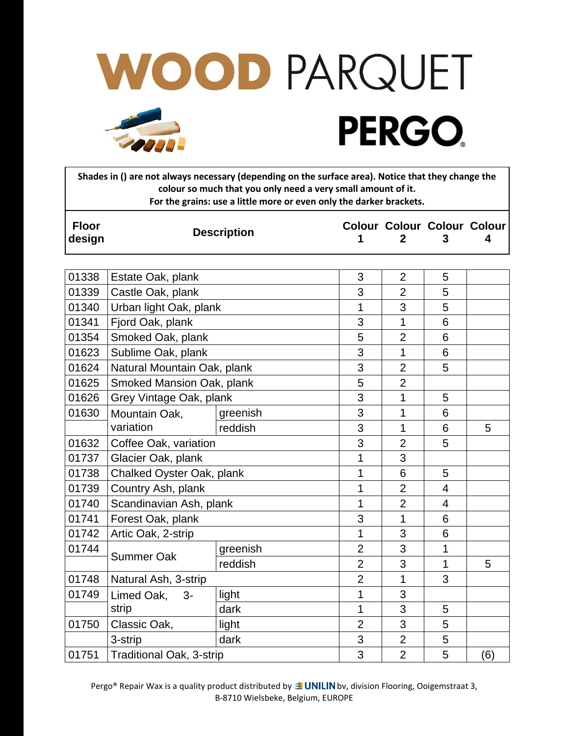

**Shades in () are not always necessary (depending on the surface area). Notice that they change the colour so much that you only need a very small amount of it. For the grains: use a little more or even only the darker brackets.**

| <b>Floor</b><br>design | <b>Description</b>              |          |                |                | <b>Colour Colour Colour Colour</b><br>3 | 4   |
|------------------------|---------------------------------|----------|----------------|----------------|-----------------------------------------|-----|
|                        |                                 |          |                |                |                                         |     |
| 01338                  | Estate Oak, plank               |          | 3              | $\overline{2}$ | 5                                       |     |
| 01339                  | Castle Oak, plank               |          | 3              | $\overline{2}$ | 5                                       |     |
| 01340                  | Urban light Oak, plank          |          | 1              | 3              | 5                                       |     |
| 01341                  | Fjord Oak, plank                |          | 3              | 1              | 6                                       |     |
| 01354                  | Smoked Oak, plank               |          | 5              | $\overline{2}$ | 6                                       |     |
| 01623                  | Sublime Oak, plank              |          | 3              | $\overline{1}$ | 6                                       |     |
| 01624                  | Natural Mountain Oak, plank     |          | 3              | $\overline{2}$ | 5                                       |     |
| 01625                  | Smoked Mansion Oak, plank       |          | 5              | $\overline{2}$ |                                         |     |
| 01626                  | Grey Vintage Oak, plank         |          | 3              | 1              | 5                                       |     |
| 01630                  | Mountain Oak,                   | greenish | 3              | 1              | 6                                       |     |
|                        | variation                       | reddish  | 3              | 1              | 6                                       | 5   |
| 01632                  | Coffee Oak, variation           |          | 3              | $\overline{2}$ | 5                                       |     |
| 01737                  | Glacier Oak, plank              |          | 1              | 3              |                                         |     |
| 01738                  | Chalked Oyster Oak, plank       |          | $\overline{1}$ | 6              | 5                                       |     |
| 01739                  | Country Ash, plank              |          | $\mathbf{1}$   | $\overline{2}$ | 4                                       |     |
| 01740                  | Scandinavian Ash, plank         |          | $\overline{1}$ | $\overline{2}$ | $\overline{4}$                          |     |
| 01741                  | Forest Oak, plank               |          | 3              | 1              | 6                                       |     |
| 01742                  | Artic Oak, 2-strip              |          | 1              | 3              | 6                                       |     |
| 01744                  | <b>Summer Oak</b>               | greenish | $\overline{2}$ | 3              | $\mathbf{1}$                            |     |
|                        |                                 | reddish  | $\overline{2}$ | 3              | $\mathbf{1}$                            | 5   |
| 01748                  | Natural Ash, 3-strip            |          | $\overline{2}$ | 1              | 3                                       |     |
| 01749                  | Limed Oak,<br>$3-$              | light    | $\mathbf{1}$   | 3              |                                         |     |
|                        | strip                           | dark     | $\mathbf{1}$   | 3              | 5                                       |     |
| 01750                  | Classic Oak,                    | light    | $\overline{2}$ | 3              | 5                                       |     |
|                        | 3-strip                         | dark     | 3              | $\overline{2}$ | 5                                       |     |
| 01751                  | <b>Traditional Oak, 3-strip</b> |          | 3              | $\overline{2}$ | 5                                       | (6) |

Pergo® Repair Wax is a quality product distributed by **BUNILIN** bv, division Flooring, Ooigemstraat 3, B-8710 Wielsbeke, Belgium, EUROPE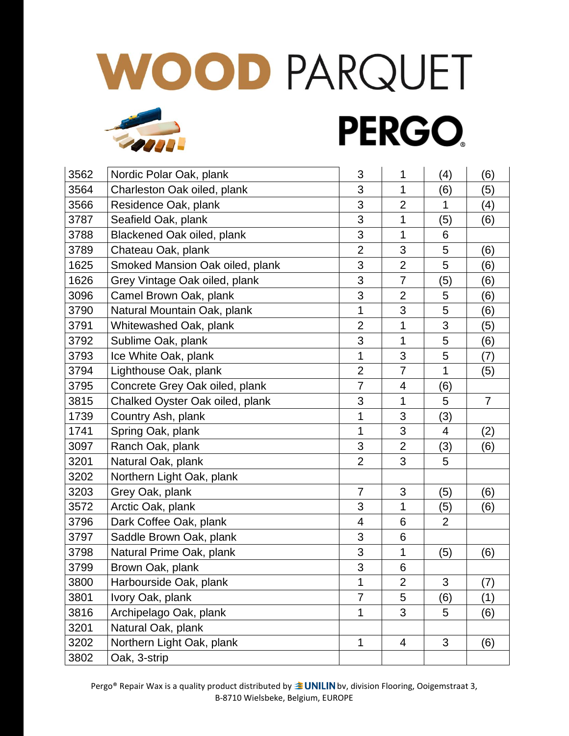## WOOD PARQUET **PERGO**

| 3562 | Nordic Polar Oak, plank         | 3              | 1              | (4)                       | (6)            |
|------|---------------------------------|----------------|----------------|---------------------------|----------------|
| 3564 | Charleston Oak oiled, plank     | 3              | 1              | (6)                       | (5)            |
| 3566 | Residence Oak, plank            | 3              | $\overline{2}$ | 1                         | (4)            |
| 3787 | Seafield Oak, plank             | 3              | 1              | (5)                       | (6)            |
| 3788 | Blackened Oak oiled, plank      | 3              | 1              | 6                         |                |
| 3789 | Chateau Oak, plank              | $\overline{2}$ | 3              | 5                         | (6)            |
| 1625 | Smoked Mansion Oak oiled, plank | 3              | $\overline{2}$ | 5                         | (6)            |
| 1626 | Grey Vintage Oak oiled, plank   | 3              | $\overline{7}$ | (5)                       | (6)            |
| 3096 | Camel Brown Oak, plank          | 3              | $\overline{2}$ | 5                         | (6)            |
| 3790 | Natural Mountain Oak, plank     | 1              | 3              | 5                         | (6)            |
| 3791 | Whitewashed Oak, plank          | $\overline{2}$ | 1              | 3                         | (5)            |
| 3792 | Sublime Oak, plank              | 3              | 1              | 5                         | (6)            |
| 3793 | Ice White Oak, plank            | 1              | 3              | 5                         | (7)            |
| 3794 | Lighthouse Oak, plank           | $\overline{2}$ | $\overline{7}$ | 1                         | (5)            |
| 3795 | Concrete Grey Oak oiled, plank  | $\overline{7}$ | $\overline{4}$ | (6)                       |                |
| 3815 | Chalked Oyster Oak oiled, plank | 3              | 1              | 5                         | $\overline{7}$ |
| 1739 | Country Ash, plank              | 1              | 3              | (3)                       |                |
| 1741 | Spring Oak, plank               | $\mathbf 1$    | 3              | 4                         | (2)            |
| 3097 | Ranch Oak, plank                | 3              | $\overline{2}$ | (3)                       | (6)            |
| 3201 | Natural Oak, plank              | $\overline{2}$ | 3              | 5                         |                |
| 3202 | Northern Light Oak, plank       |                |                |                           |                |
| 3203 | Grey Oak, plank                 | $\overline{7}$ | 3              | (5)                       | (6)            |
| 3572 | Arctic Oak, plank               | 3              | 1              | (5)                       | (6)            |
| 3796 | Dark Coffee Oak, plank          | 4              | 6              | $\overline{2}$            |                |
| 3797 | Saddle Brown Oak, plank         | 3              | 6              |                           |                |
| 3798 | Natural Prime Oak, plank        | 3              | 1              | (5)                       | (6)            |
| 3799 | Brown Oak, plank                | 3              | 6              |                           |                |
| 3800 | Harbourside Oak, plank          | $\mathbf 1$    | $\overline{c}$ | $\ensuremath{\mathsf{3}}$ | (7)            |
| 3801 | Ivory Oak, plank                | $\overline{7}$ | 5              | (6)                       | (1)            |
| 3816 | Archipelago Oak, plank          | $\mathbf{1}$   | 3              | 5                         | (6)            |
| 3201 | Natural Oak, plank              |                |                |                           |                |
| 3202 | Northern Light Oak, plank       | $\mathbf 1$    | $\overline{4}$ | 3                         | (6)            |
| 3802 | Oak, 3-strip                    |                |                |                           |                |

Pergo® Repair Wax is a quality product distributed by **BUNILIN** bv, division Flooring, Ooigemstraat 3, B-8710 Wielsbeke, Belgium, EUROPE